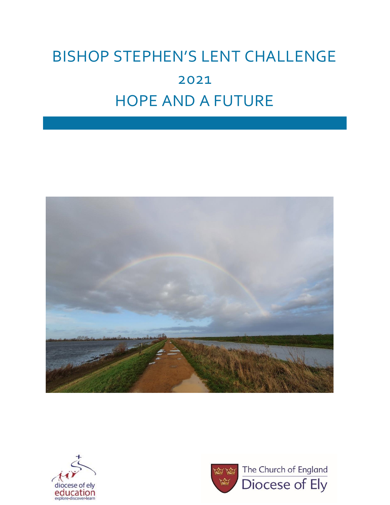# BISHOP STEPHEN'S LENT CHALLENGE 2021 HOPE AND A FUTURE





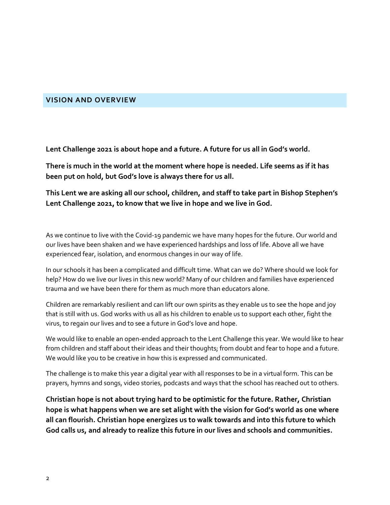# **VISION AND OVERVIEW**

**Lent Challenge 2021 is about hope and a future. A future for us all in God's world.** 

**There is much in the world at the moment where hope is needed. Life seems as if it has been put on hold, but God's love is always there for us all.**

**This Lent we are asking all our school, children, and staff to take part in Bishop Stephen's Lent Challenge 2021, to know that we live in hope and we live in God.** 

As we continue to live with the Covid-19 pandemic we have many hopes for the future. Our world and our lives have been shaken and we have experienced hardships and loss of life. Above all we have experienced fear, isolation, and enormous changes in our way of life.

In our schools it has been a complicated and difficult time. What can we do? Where should we look for help? How do we live our lives in this new world? Many of our children and families have experienced trauma and we have been there for them as much more than educators alone.

Children are remarkably resilient and can lift our own spirits as they enable us to see the hope and joy that is still with us. God works with us all as his children to enable us to support each other, fight the virus, to regain our lives and to see a future in God's love and hope.

We would like to enable an open-ended approach to the Lent Challenge this year. We would like to hear from children and staff about their ideas and their thoughts; from doubt and fear to hope and a future. We would like you to be creative in how this is expressed and communicated.

The challenge is to make this year a digital year with all responses to be in a virtual form. This can be prayers, hymns and songs, video stories, podcasts and ways that the school has reached out to others.

**Christian hope is not about trying hard to be optimistic for the future. Rather, Christian hope is what happens when we are set alight with the vision for God's world as one where all can flourish. Christian hope energizes us to walk towards and into this future to which God calls us, and already to realize this future in our lives and schools and communities.**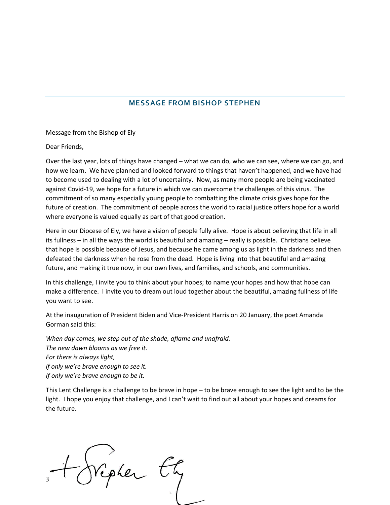# **MESSAGE FROM BISHOP STEPHEN**

Message from the Bishop of Ely

Dear Friends,

Over the last year, lots of things have changed – what we can do, who we can see, where we can go, and how we learn. We have planned and looked forward to things that haven't happened, and we have had to become used to dealing with a lot of uncertainty. Now, as many more people are being vaccinated against Covid-19, we hope for a future in which we can overcome the challenges of this virus. The commitment of so many especially young people to combatting the climate crisis gives hope for the future of creation. The commitment of people across the world to racial justice offers hope for a world where everyone is valued equally as part of that good creation.

Here in our Diocese of Ely, we have a vision of people fully alive. Hope is about believing that life in all its fullness – in all the ways the world is beautiful and amazing – really is possible. Christians believe that hope is possible because of Jesus, and because he came among us as light in the darkness and then defeated the darkness when he rose from the dead. Hope is living into that beautiful and amazing future, and making it true now, in our own lives, and families, and schools, and communities.

In this challenge, I invite you to think about your hopes; to name your hopes and how that hope can make a difference. I invite you to dream out loud together about the beautiful, amazing fullness of life you want to see.

At the inauguration of President Biden and Vice-President Harris on 20 January, the poet Amanda Gorman said this:

*When day comes, we step out of the shade, aflame and unafraid. The new dawn blooms as we free it. For there is always light, if only we're brave enough to see it. If only we're brave enough to be it.*

This Lent Challenge is a challenge to be brave in hope – to be brave enough to see the light and to be the light. I hope you enjoy that challenge, and I can't wait to find out all about your hopes and dreams for the future.

Vipher 3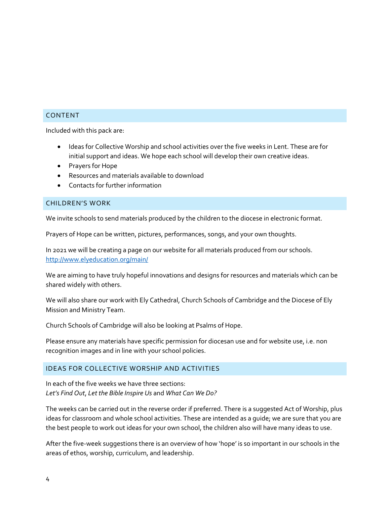#### CONTENT

Included with this pack are:

- Ideas for Collective Worship and school activities over the five weeks in Lent. These are for initial support and ideas. We hope each school will develop their own creative ideas.
- Prayers for Hope
- Resources and materials available to download
- Contacts for further information

#### CHILDREN'S WORK

We invite schools to send materials produced by the children to the diocese in electronic format.

Prayers of Hope can be written, pictures, performances, songs, and your own thoughts.

In 2021 we will be creating a page on our website for all materials produced from our schools. <http://www.elyeducation.org/main/>

We are aiming to have truly hopeful innovations and designs for resources and materials which can be shared widely with others.

We will also share our work with Ely Cathedral, Church Schools of Cambridge and the Diocese of Ely Mission and Ministry Team.

Church Schools of Cambridge will also be looking at Psalms of Hope.

Please ensure any materials have specific permission for diocesan use and for website use, i.e. non recognition images and in line with your school policies.

# IDEAS FOR COLLECTIVE WORSHIP AND ACTIVITIES

In each of the five weeks we have three sections: *Let's Find Out*, *Let the Bible Inspire Us* and *What Can We Do?*

The weeks can be carried out in the reverse order if preferred. There is a suggested Act of Worship, plus ideas for classroom and whole school activities. These are intended as a guide; we are sure that you are the best people to work out ideas for your own school, the children also will have many ideas to use.

After the five-week suggestions there is an overview of how 'hope' is so important in our schools in the areas of ethos, worship, curriculum, and leadership.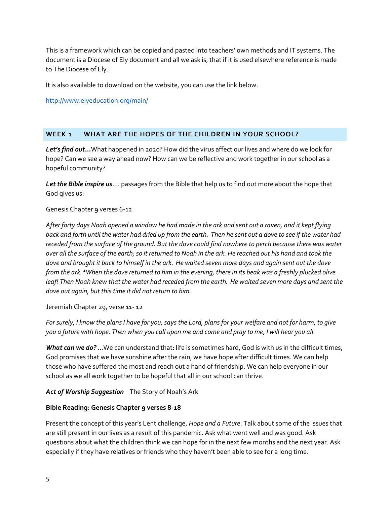This is a framework which can be copied and pasted into teachers' own methods and IT systems. The document is a Diocese of Ely document and all we ask is, that if it is used elsewhere reference is made to The Diocese of Ely.

It is also available to download on the website, you can use the link below.

<http://www.elyeducation.org/main/>

# **WEEK 1 WHAT ARE THE HOPES OF THE CHILDREN IN YOUR SCHOOL?**

*Let's find out***...**What happened in 2020? How did the virus affect our lives and where do we look for hope? Can we see a way ahead now? How can we be reflective and work together in our school as a hopeful community?

*Let the Bible inspire us*…. passages from the Bible that help us to find out more about the hope that God gives us:

# Genesis Chapter 9 verses 6-12

*After forty days Noah opened a window he had made in the ark and sent out a raven, and it kept flying back and forth until the water had dried up from the earth. Then he sent out a dove to see if the water had receded from the surface of the ground. But the dove could find nowhere to perch because there was water over all the surface of the earth; so it returned to Noah in the ark. He reached out his hand and took the dove and brought it back to himself in the ark. He waited seven more days and again sent out the dove from the ark. <sup>1</sup>When the dove returned to him in the evening, there in its beak was a freshly plucked olive leaf! Then Noah knew that the water had receded from the earth. He waited seven more days and sent the dove out again, but this time it did not return to him.*

Jeremiah Chapter 29, verse 11- 12

*For surely, I know the plans I have for you, says the Lord, plans for your welfare and not for harm, to give you a future with hope. Then when you call upon me and come and pray to me, I will hear you all.*

*What can we do?* …We can understand that: life is sometimes hard, God is with us in the difficult times, God promises that we have sunshine after the rain, we have hope after difficult times. We can help those who have suffered the most and reach out a hand of friendship. We can help everyone in our school as we all work together to be hopeful that all in our school can thrive.

# *Act of Worship Suggestion* The Story of Noah's Ark

# **Bible Reading: Genesis Chapter 9 verses 8-18**

Present the concept of this year's Lent challenge, *Hope and a Future*. Talk about some of the issues that are still present in our lives as a result of this pandemic. Ask what went well and was good. Ask questions about what the children think we can hope for in the next few months and the next year. Ask especially if they have relatives or friends who they haven't been able to see for a long time.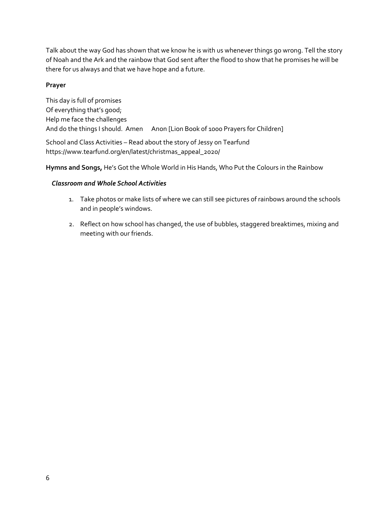Talk about the way God has shown that we know he is with us whenever things go wrong. Tell the story of Noah and the Ark and the rainbow that God sent after the flood to show that he promises he will be there for us always and that we have hope and a future.

# **Prayer**

This day is full of promises Of everything that's good; Help me face the challenges And do the things I should. Amen Anon [Lion Book of 1000 Prayers for Children] School and Class Activities – Read about the story of Jessy on Tearfund

https://www.tearfund.org/en/latest/christmas\_appeal\_2020/

**Hymns and Songs,** He's Got the Whole World in His Hands, Who Put the Colours in the Rainbow

# *Classroom and Whole School Activities*

- 1. Take photos or make lists of where we can still see pictures of rainbows around the schools and in people's windows.
- 2. Reflect on how school has changed, the use of bubbles, staggered breaktimes, mixing and meeting with our friends.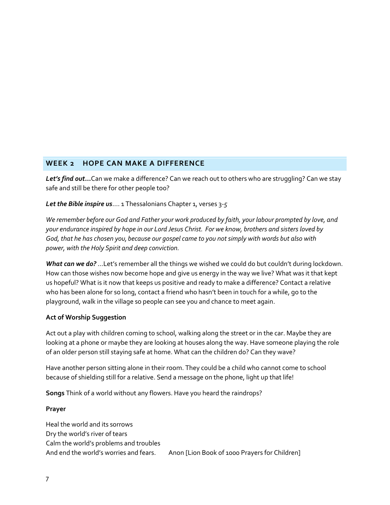# **WEEK 2 HOPE CAN MAKE A DIFFERENCE**

*Let's find out***...**Can we make a difference? Can we reach out to others who are struggling? Can we stay safe and still be there for other people too?

*Let the Bible inspire us*…. 1 Thessalonians Chapter 1, verses 3-*5* 

*We remember before our God and Father your work produced by faith, your labour prompted by love, and your endurance inspired by hope in our Lord Jesus Christ. For we know, brothers and sisters loved by God, that he has chosen you, because our gospel came to you not simply with words but also with power, with the Holy Spirit and deep conviction.*

*What can we do?* …Let's remember all the things we wished we could do but couldn't during lockdown. How can those wishes now become hope and give us energy in the way we live? What was it that kept us hopeful? What is it now that keeps us positive and ready to make a difference? Contact a relative who has been alone for so long, contact a friend who hasn't been in touch for a while, go to the playground, walk in the village so people can see you and chance to meet again.

# **Act of Worship Suggestion**

Act out a play with children coming to school, walking along the street or in the car. Maybe they are looking at a phone or maybe they are looking at houses along the way. Have someone playing the role of an older person still staying safe at home. What can the children do? Can they wave?

Have another person sitting alone in their room. They could be a child who cannot come to school because of shielding still for a relative. Send a message on the phone, light up that life!

**Songs** Think of a world without any flowers. Have you heard the raindrops?

#### **Prayer**

Heal the world and its sorrows Dry the world's river of tears Calm the world's problems and troubles And end the world's worries and fears. Anon [Lion Book of 1000 Prayers for Children]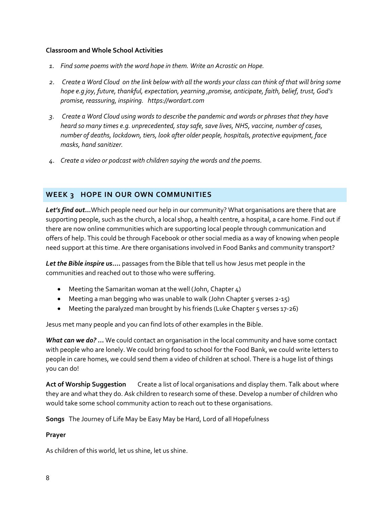#### **Classroom and Whole School Activities**

- *1. Find some poems with the word hope in them. Write an Acrostic on Hope.*
- *2. Create a Word Cloud on the link below with all the words your class can think of that will bring some hope e.g joy, future, thankful, expectation, yearning ,promise, anticipate, faith, belief, trust, God's promise, reassuring, inspiring. https://wordart.com*
- *3. Create a Word Cloud using words to describe the pandemic and words or phrases that they have heard so many times e.g. unprecedented, stay safe, save lives, NHS, vaccine, number of cases, number of deaths, lockdown, tiers, look after older people, hospitals, protective equipment, face masks, hand sanitizer.*
- *4. Create a video or podcast with children saying the words and the poems.*

# **WEEK 3 HOPE IN OUR OWN COMMUNITIES**

*Let's find out***...**Which people need our help in our community? What organisations are there that are supporting people, such as the church, a local shop, a health centre, a hospital, a care home. Find out if there are now online communities which are supporting local people through communication and offers of help. This could be through Facebook or other social media as a way of knowing when people need support at this time. Are there organisations involved in Food Banks and community transport?

*Let the Bible inspire us***….** passages from the Bible that tell us how Jesus met people in the communities and reached out to those who were suffering.

- Meeting the Samaritan woman at the well (John, Chapter 4)
- Meeting a man begging who was unable to walk (John Chapter  $5$  verses  $2-15$ )
- Meeting the paralyzed man brought by his friends (Luke Chapter 5 verses 17-26)

Jesus met many people and you can find lots of other examples in the Bible.

*What can we do?* **…** We could contact an organisation in the local community and have some contact with people who are lonely. We could bring food to school for the Food Bank, we could write letters to people in care homes, we could send them a video of children at school. There is a huge list of things you can do!

**Act of Worship Suggestion** Create a list of local organisations and display them. Talk about where they are and what they do. Ask children to research some of these. Develop a number of children who would take some school community action to reach out to these organisations.

**Songs** The Journey of Life May be Easy May be Hard, Lord of all Hopefulness

# **Prayer**

As children of this world, let us shine, let us shine.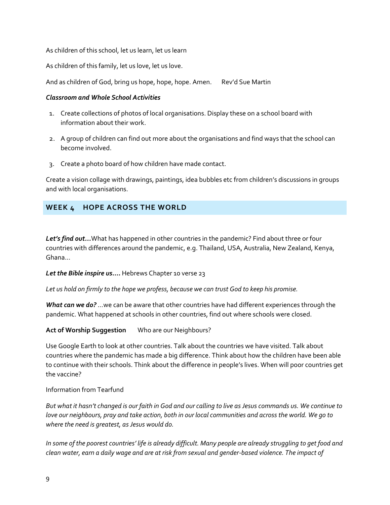As children of this school, let us learn, let us learn

As children of this family, let us love, let us love.

And as children of God, bring us hope, hope, hope. Amen. Rev'd Sue Martin

#### *Classroom and Whole School Activities*

- 1. Create collections of photos of local organisations. Display these on a school board with information about their work.
- 2. A group of children can find out more about the organisations and find ways that the school can become involved.
- 3. Create a photo board of how children have made contact.

Create a vision collage with drawings, paintings, idea bubbles etc from children's discussions in groups and with local organisations.

# **WEEK 4 HOPE ACROSS THE WORLD**

*Let's find out...*What has happened in other countries in the pandemic? Find about three or four countries with differences around the pandemic, e.g. Thailand, USA, Australia, New Zealand, Kenya, Ghana…

*Let the Bible inspire us***….** Hebrews Chapter 10 verse 23

*Let us hold on firmly to the hope we profess, because we can trust God to keep his promise.*

*What can we do?* …we can be aware that other countries have had different experiences through the pandemic. What happened at schools in other countries, find out where schools were closed.

**Act of Worship Suggestion** Who are our Neighbours?

Use Google Earth to look at other countries. Talk about the countries we have visited. Talk about countries where the pandemic has made a big difference. Think about how the children have been able to continue with their schools. Think about the difference in people's lives. When will poor countries get the vaccine?

# Information from Tearfund

*But what it hasn't changed is our faith in God and our calling to live as Jesus commands us. We continue to love our neighbours, pray and take action, both in our local communities and across the world. We go to where the need is greatest, as Jesus would do.*

*In some of the poorest countries' life is already difficult. Many people are already struggling to get food and clean water, earn a daily wage and are at risk from sexual and gender-based violence. The impact of*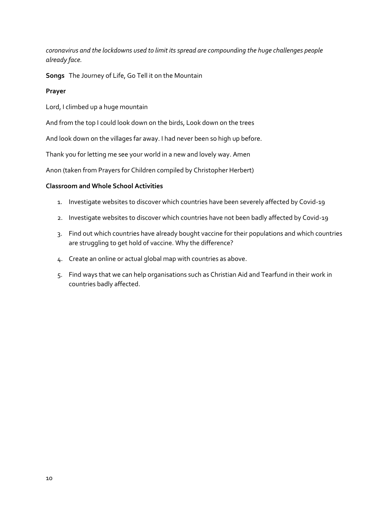*coronavirus and the lockdowns used to limit its spread are compounding the huge challenges people already face.* 

**Songs** The Journey of Life, Go Tell it on the Mountain

# **Prayer**

Lord, I climbed up a huge mountain

And from the top I could look down on the birds, Look down on the trees

And look down on the villages far away. I had never been so high up before.

Thank you for letting me see your world in a new and lovely way. Amen

Anon (taken from Prayers for Children compiled by Christopher Herbert)

# **Classroom and Whole School Activities**

- 1. Investigate websites to discover which countries have been severely affected by Covid-19
- 2. Investigate websites to discover which countries have not been badly affected by Covid-19
- 3. Find out which countries have already bought vaccine for their populations and which countries are struggling to get hold of vaccine. Why the difference?
- 4. Create an online or actual global map with countries as above.
- 5. Find ways that we can help organisations such as Christian Aid and Tearfund in their work in countries badly affected.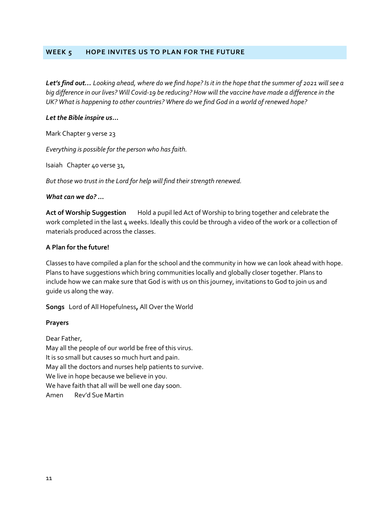#### **WEEK 5 HOPE INVITES US TO PLAN FOR THE FUTURE**

*Let's find out… Looking ahead, where do we find hope? Is it in the hope that the summer of 2021 will see a big difference in our lives? Will Covid-19 be reducing? How will the vaccine have made a difference in the UK? What is happening to other countries? Where do we find God in a world of renewed hope?*

#### *Let the Bible inspire us***…**

Mark Chapter 9 verse 23

*Everything is possible for the person who has faith.*

Isaiah Chapter 40 verse 31,

*But those wo trust in the Lord for help will find their strength renewed.*

#### *What can we do?* **…**

**Act of Worship Suggestion** Hold a pupil led Act of Worship to bring together and celebrate the work completed in the last 4 weeks. Ideally this could be through a video of the work or a collection of materials produced across the classes.

#### **A Plan for the future!**

Classes to have compiled a plan for the school and the community in how we can look ahead with hope. Plans to have suggestions which bring communities locally and globally closer together. Plans to include how we can make sure that God is with us on this journey, invitations to God to join us and guide us along the way.

**Songs** Lord of All Hopefulness**,** All Over the World

#### **Prayers**

Dear Father, May all the people of our world be free of this virus. It is so small but causes so much hurt and pain. May all the doctors and nurses help patients to survive. We live in hope because we believe in you. We have faith that all will be well one day soon. Amen Rev'd Sue Martin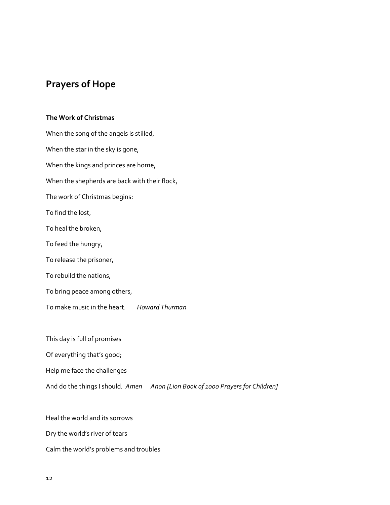# **Prayers of Hope**

# **The Work of Christmas**

When the song of the angels is stilled, When the star in the sky is gone, When the kings and princes are home, When the shepherds are back with their flock, The work of Christmas begins: To find the lost, To heal the broken, To feed the hungry, To release the prisoner, To rebuild the nations, To bring peace among others, To make music in the heart. *Howard Thurman*

This day is full of promises

Of everything that's good;

Help me face the challenges

And do the things I should*. Amen Anon [Lion Book of 1000 Prayers for Children]*

Heal the world and its sorrows Dry the world's river of tears Calm the world's problems and troubles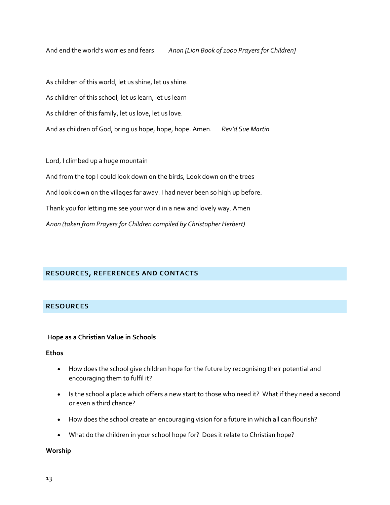And end the world's worries and fears. *Anon [Lion Book of 1000 Prayers for Children]*

As children of this world, let us shine, let us shine. As children of this school, let us learn, let us learn As children of this family, let us love, let us love. And as children of God, bring us hope, hope, hope. Amen*. Rev'd Sue Martin*

Lord, I climbed up a huge mountain

And from the top I could look down on the birds, Look down on the trees And look down on the villages far away. I had never been so high up before. Thank you for letting me see your world in a new and lovely way. Amen *Anon (taken from Prayers for Children compiled by Christopher Herbert)*

#### **RESOURCES, REFERENCES AND CONTACTS**

# **RESOURCES**

#### **Hope as a Christian Value in Schools**

#### **Ethos**

- How does the school give children hope for the future by recognising their potential and encouraging them to fulfil it?
- Is the school a place which offers a new start to those who need it? What if they need a second or even a third chance?
- How does the school create an encouraging vision for a future in which all can flourish?
- What do the children in your school hope for? Does it relate to Christian hope?

#### **Worship**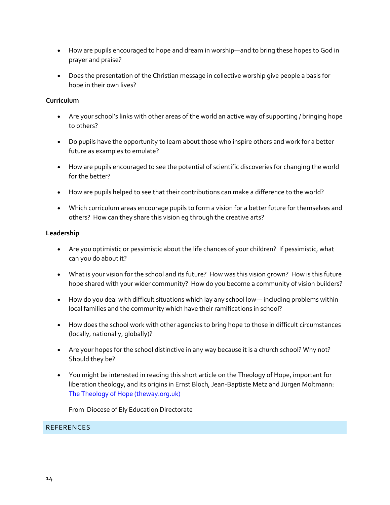- How are pupils encouraged to hope and dream in worship—and to bring these hopes to God in prayer and praise?
- Does the presentation of the Christian message in collective worship give people a basis for hope in their own lives?

# **Curriculum**

- Are your school's links with other areas of the world an active way of supporting / bringing hope to others?
- Do pupils have the opportunity to learn about those who inspire others and work for a better future as examples to emulate?
- How are pupils encouraged to see the potential of scientific discoveries for changing the world for the better?
- How are pupils helped to see that their contributions can make a difference to the world?
- Which curriculum areas encourage pupils to form a vision for a better future for themselves and others? How can they share this vision eg through the creative arts?

# **Leadership**

- Are you optimistic or pessimistic about the life chances of your children? If pessimistic, what can you do about it?
- What is your vision for the school and its future? How was this vision grown? How is this future hope shared with your wider community? How do you become a community of vision builders?
- How do you deal with difficult situations which lay any school low— including problems within local families and the community which have their ramifications in school?
- How does the school work with other agencies to bring hope to those in difficult circumstances (locally, nationally, globally)?
- Are your hopes for the school distinctive in any way because it is a church school? Why not? Should they be?
- You might be interested in reading this short article on the Theology of Hope, important for liberation theology, and its origins in Ernst Bloch, Jean-Baptiste Metz and Jürgen Moltmann: [The Theology of Hope \(theway.org.uk\)](https://www.theway.org.uk/back/084Collins.pdf)

From Diocese of Ely Education Directorate

# **REFERENCES**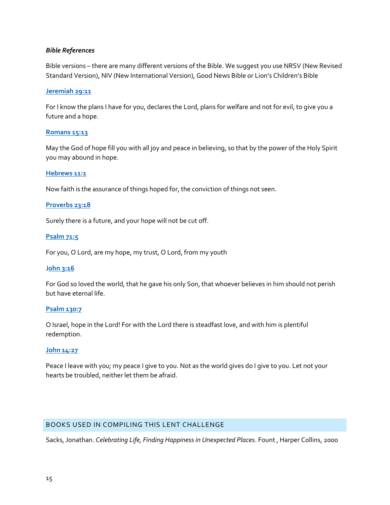#### *Bible References*

Bible versions – there are many different versions of the Bible. We suggest you use NRSV (New Revised Standard Version), NIV (New International Version), Good News Bible or Lion's Children's Bible

#### **[Jeremiah 29:11](https://www.biblegateway.com/passage/?search=Jeremiah+29%3A11&version=ESV)**

For I know the plans I have for you, declares the Lord, plans for welfare and not for evil, to give you a future and a hope.

#### **[Romans 15:13](https://www.biblegateway.com/passage/?search=Romans+15%3A13&version=ESV)**

May the God of hope fill you with all joy and peace in believing, so that by the power of the Holy Spirit you may abound in hope.

#### **[Hebrews 11:1](https://www.biblegateway.com/passage/?search=Hebrews+11%3A1&version=ESV)**

Now faith is the assurance of things hoped for, the conviction of things not seen.

#### **[Proverbs 23:18](https://www.biblegateway.com/passage/?search=Proverbs+23%3A18&version=ESV)**

Surely there is a future, and your hope will not be cut off.

#### **[Psalm 71:5](https://www.biblegateway.com/passage/?search=Psalm+71%3A5&version=ESV)**

For you, O Lord, are my hope, my trust, O Lord, from my youth

#### J**[ohn 3:16](https://www.biblegateway.com/passage/?search=John+3%3A16&version=ESV)**

For God so loved the world, that he gave his only Son, that whoever believes in him should not perish but have eternal life.

#### **[Psalm 130:7](https://www.biblegateway.com/passage/?search=Psalm+130%3A7&version=ESV)**

O Israel, hope in the Lord! For with the Lord there is steadfast love, and with him is plentiful redemption.

#### **[John 14:27](https://www.biblegateway.com/passage/?search=John+14%3A27&version=ESV)**

Peace I leave with you; my peace I give to you. Not as the world gives do I give to you. Let not your hearts be troubled, neither let them be afraid.

# BOOKS USED IN COMPILING THIS LENT CHALLENGE

Sacks, Jonathan. *Celebrating Life, Finding Happiness in Unexpected Places*. Fount , Harper Collins, 2000